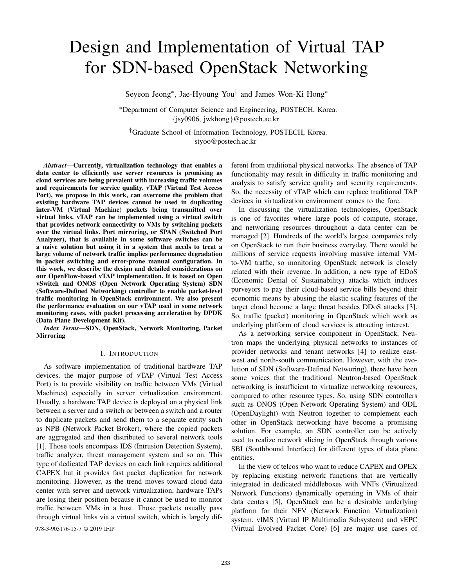# Design and Implementation of Virtual TAP for SDN-based OpenStack Networking

Seyeon Jeong<sup>∗</sup> , Jae-Hyoung You† and James Won-Ki Hong<sup>∗</sup>

<sup>∗</sup>Department of Computer Science and Engineering, POSTECH, Korea. {jsy0906, jwkhong}@postech.ac.kr

†Graduate School of Information Technology, POSTECH, Korea. styoo@postech.ac.kr

*Abstract*—Currently, virtualization technology that enables a data center to efficiently use server resources is promising as cloud services are being prevalent with increasing traffic volumes and requirements for service quality. vTAP (Virtual Test Access Port), we propose in this work, can overcome the problem that existing hardware TAP devices cannot be used in duplicating inter-VM (Virtual Machine) packets being transmitted over virtual links. vTAP can be implemented using a virtual switch that provides network connectivity to VMs by switching packets over the virtual links. Port mirroring, or SPAN (Switched Port Analyzer), that is available in some software switches can be a naive solution but using it in a system that needs to treat a large volume of network traffic implies performance degradation in packet switching and error-prone manual configuration. In this work, we describe the design and detailed considerations on our OpenFlow-based vTAP implementation. It is based on Open vSwitch and ONOS (Open Network Operating System) SDN (Software-Defined Networking) controller to enable packet-level traffic monitoring in OpenStack environment. We also present the performance evaluation on our vTAP used in some network monitoring cases, with packet processing acceleration by DPDK (Data Plane Development Kit).

*Index Terms*—SDN, OpenStack, Network Monitoring, Packet Mirroring

# I. INTRODUCTION

As software implementation of traditional hardware TAP devices, the major purpose of vTAP (Virtual Test Access Port) is to provide visibility on traffic between VMs (Virtual Machines) especially in server virtualization environment. Usually, a hardware TAP device is deployed on a physical link between a server and a switch or between a switch and a router to duplicate packets and send them to a separate entity such as NPB (Network Packet Broker), where the copied packets are aggregated and then distributed to several network tools [1]. Those tools encompass IDS (Intrusion Detection System), traffic analyzer, threat management system and so on. This type of dedicated TAP devices on each link requires additional CAPEX but it provides fast packet duplication for network monitoring. However, as the trend moves toward cloud data center with server and network virtualization, hardware TAPs are losing their position because it cannot be used to monitor traffic between VMs in a host. Those packets usually pass through virtual links via a virtual switch, which is largely dif-

ferent from traditional physical networks. The absence of TAP functionality may result in difficulty in traffic monitoring and analysis to satisfy service quality and security requirements. So, the necessity of vTAP which can replace traditional TAP devices in virtualization environment comes to the fore.

In discussing the virtualization technologies, OpenStack is one of favorites where large pools of compute, storage, and networking resources throughout a data center can be managed [2]. Hundreds of the world's largest companies rely on OpenStack to run their business everyday. There would be millions of service requests involving massive internal VMto-VM traffic, so monitoring OpenStack network is closely related with their revenue. In addition, a new type of EDoS (Economic Denial of Sustainability) attacks which induces purveyors to pay their cloud-based service bills beyond their economic means by abusing the elastic scaling features of the target cloud become a large threat besides DDoS attacks [3]. So, traffic (packet) monitoring in OpenStack which work as underlying platform of cloud services is attracting interest.

As a networking service component in OpenStack, Neutron maps the underlying physical networks to instances of provider networks and tenant networks [4] to realize eastwest and north-south communication. However, with the evolution of SDN (Software-Defined Networing), there have been some voices that the traditional Neutron-based OpenStack networking is insufficient to virtualize networking resources, compared to other resource types. So, using SDN controllers such as ONOS (Open Network Operating System) and ODL (OpenDaylight) with Neutron together to complement each other in OpenStack networking have become a promising solution. For example, an SDN controller can be actively used to realize network slicing in OpenStack through various SBI (Southbound Interface) for different types of data plane entities.

In the view of telcos who want to reduce CAPEX and OPEX by replacing existing network functions that are vertically integrated in dedicated middleboxes with VNFs (Virtualized Network Functions) dynamically operating in VMs of their data centers [5], OpenStack can be a desirable underlying platform for their NFV (Network Function Virtualization) system. vIMS (Virtual IP Multimedia Subsystem) and vEPC 978-3-903176-15-7 © 2019 IFIP (Virtual Evolved Packet Core) [6] are major use cases of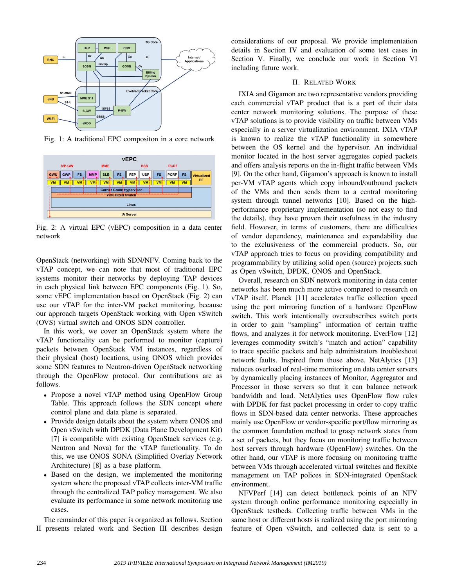

Fig. 1: A traditional EPC compositon in a core network



Fig. 2: A virtual EPC (vEPC) composition in a data center network

OpenStack (networking) with SDN/NFV. Coming back to the vTAP concept, we can note that most of traditional EPC systems monitor their networks by deploying TAP devices in each physical link between EPC components (Fig. 1). So, some vEPC implementation based on OpenStack (Fig. 2) can use our vTAP for the inter-VM packet monitoring, because our approach targets OpenStack working with Open vSwitch (OVS) virtual switch and ONOS SDN controller.

In this work, we cover an OpenStack system where the vTAP functionality can be performed to monitor (capture) packets between OpenStack VM instances, regardless of their physical (host) locations, using ONOS which provides some SDN features to Neutron-driven OpenStack networking through the OpenFlow protocol. Our contributions are as follows.

- Propose a novel vTAP method using OpenFlow Group Table. This approach follows the SDN concept where control plane and data plane is separated.
- Provide design details about the system where ONOS and Open vSwitch with DPDK (Data Plane Development Kit) [7] is compatible with existing OpenStack services (e.g. Neutron and Nova) for the vTAP functionality. To do this, we use ONOS SONA (Simplified Overlay Network Architecture) [8] as a base platform.
- Based on the design, we implemented the monitoring system where the proposed vTAP collects inter-VM traffic through the centralized TAP policy management. We also evaluate its performance in some network monitoring use cases.

The remainder of this paper is organized as follows. Section II presents related work and Section III describes design considerations of our proposal. We provide implementation details in Section IV and evaluation of some test cases in Section V. Finally, we conclude our work in Section VI including future work.

#### II. RELATED WORK

IXIA and Gigamon are two representative vendors providing each commercial vTAP product that is a part of their data center network monitoring solutions. The purpose of these vTAP solutions is to provide visibility on traffic between VMs especially in a server virtualization environment. IXIA vTAP is known to realize the vTAP functionality in somewhere between the OS kernel and the hypervisor. An individual monitor located in the host server aggregates copied packets and offers analysis reports on the in-flight traffic between VMs [9]. On the other hand, Gigamon's approach is known to install per-VM vTAP agents which copy inbound/outbound packets of the VMs and then sends them to a central monitoring system through tunnel networks [10]. Based on the highperformance proprietary implementation (so not easy to find the details), they have proven their usefulness in the industry field. However, in terms of customers, there are difficulties of vendor dependency, maintenance and expandability due to the exclusiveness of the commercial products. So, our vTAP approach tries to focus on providing compatibility and programmability by utilizing solid open (source) projects such as Open vSwitch, DPDK, ONOS and OpenStack.

Overall, research on SDN network monitoring in data center networks has been much more active compared to research on vTAP itself. Planck [11] accelerates traffic collection speed using the port mirroring function of a hardware OpenFlow switch. This work intentionally oversubscribes switch ports in order to gain "sampling" information of certain traffic flows, and analyzes it for network monitoring. EverFlow [12] leverages commodity switch's "match and action" capability to trace specific packets and help administrators troubleshoot network faults. Inspired from those above, NetAlytics [13] reduces overload of real-time monitoring on data center servers by dynamically placing instances of Monitor, Aggregator and Processor in those servers so that it can balance network bandwidth and load. NetAlytics uses OpenFlow flow rules with DPDK for fast packet processing in order to copy traffic flows in SDN-based data center networks. These approaches mainly use OpenFlow or vendor-specific port/flow mirroring as the common foundation method to grasp network states from a set of packets, but they focus on monitoring traffic between host servers through hardware (OpenFlow) switches. On the other hand, our vTAP is more focusing on monitoring traffic between VMs through accelerated virtual switches and flexible management on TAP polices in SDN-integrated OpenStack environment.

NFVPerf [14] can detect bottleneck points of an NFV system through online performance monitoring especially in OpenStack testbeds. Collecting traffic between VMs in the same host or different hosts is realized using the port mirroring feature of Open vSwitch, and collected data is sent to a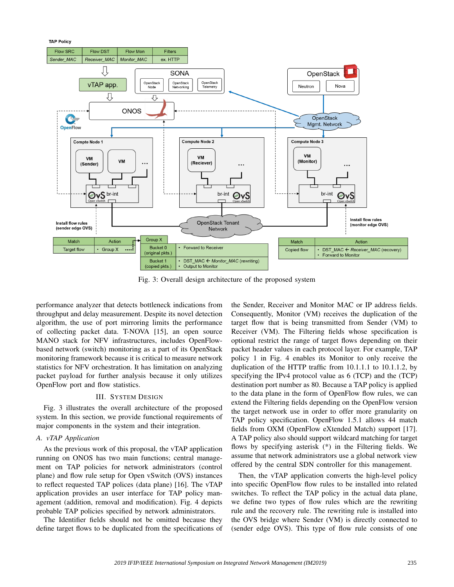

Fig. 3: Overall design architecture of the proposed system

performance analyzer that detects bottleneck indications from throughput and delay measurement. Despite its novel detection algorithm, the use of port mirroring limits the performance of collecting packet data. T-NOVA [15], an open source MANO stack for NFV infrastructures, includes OpenFlowbased network (switch) monitoring as a part of its OpenStack monitoring framework because it is critical to measure network statistics for NFV orchestration. It has limitation on analyzing packet payload for further analysis because it only utilizes OpenFlow port and flow statistics.

#### III. SYSTEM DESIGN

Fig. 3 illustrates the overall architecture of the proposed system. In this section, we provide functional requirements of major components in the system and their integration.

# *A. vTAP Application*

As the previous work of this proposal, the vTAP application running on ONOS has two main functions; central management on TAP policies for network administrators (control plane) and flow rule setup for Open vSwitch (OVS) instances to reflect requested TAP polices (data plane) [16]. The vTAP application provides an user interface for TAP policy management (addition, removal and modification). Fig. 4 depicts probable TAP policies specified by network administrators.

The Identifier fields should not be omitted because they define target flows to be duplicated from the specifications of

the Sender, Receiver and Monitor MAC or IP address fields. Consequently, Monitor (VM) receives the duplication of the target flow that is being transmitted from Sender (VM) to Receiver (VM). The Filtering fields whose specification is optional restrict the range of target flows depending on their packet header values in each protocol layer. For example, TAP policy 1 in Fig. 4 enables its Monitor to only receive the duplication of the HTTP traffic from 10.1.1.1 to 10.1.1.2, by specifying the IPv4 protocol value as 6 (TCP) and the (TCP) destination port number as 80. Because a TAP policy is applied to the data plane in the form of OpenFlow flow rules, we can extend the Filtering fields depending on the OpenFlow version the target network use in order to offer more granularity on TAP policy specification. OpenFlow 1.5.1 allows 44 match fields from OXM (OpenFlow eXtended Match) support [17]. A TAP policy also should support wildcard matching for target flows by specifying asterisk (\*) in the Filtering fields. We assume that network administrators use a global network view offered by the central SDN controller for this management.

Then, the vTAP application converts the high-level policy into specific OpenFlow flow rules to be installed into related switches. To reflect the TAP policy in the actual data plane, we define two types of flow rules which are the rewriting rule and the recovery rule. The rewriting rule is installed into the OVS bridge where Sender (VM) is directly connected to (sender edge OVS). This type of flow rule consists of one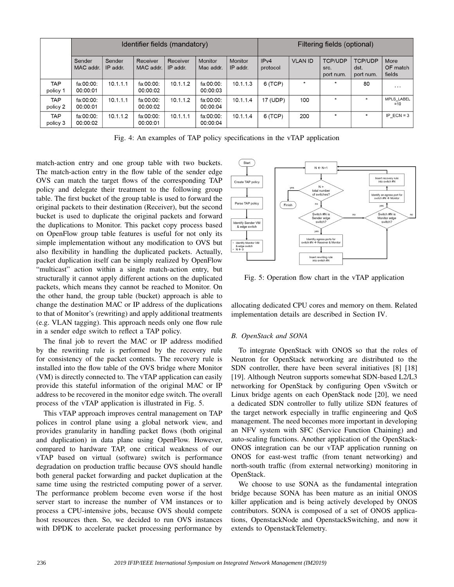|                        | Identifier fields (mandatory) |                    |                       |                      |                       |                     |                  | Filtering fields (optional) |                                     |                                     |                            |  |
|------------------------|-------------------------------|--------------------|-----------------------|----------------------|-----------------------|---------------------|------------------|-----------------------------|-------------------------------------|-------------------------------------|----------------------------|--|
|                        | Sender<br>MAC addr.           | Sender<br>IP addr. | Receiver<br>MAC addr. | Receiver<br>IP addr. | Monitor<br>Mac addr.  | Monitor<br>IP addr. | IPv4<br>protocol | <b>VLAN ID</b>              | <b>TCP/UDP</b><br>src.<br>port num. | <b>TCP/UDP</b><br>dst.<br>port num. | More<br>OF match<br>fields |  |
| <b>TAP</b><br>policy 1 | fa:00:00:<br>00.00:01         | 10.1.1.1           | fa:00:00:<br>00:00:02 | 10.1.1.2             | fa:00:00:<br>00:00:03 | 10.1.1.3            | 6(TCP)           | $\star$                     | $\star$                             | 80                                  | $\cdots$                   |  |
| <b>TAP</b><br>policy 2 | fa:00:00:<br>00:00:01         | 10.1.1.1           | fa:00:00:<br>00:00:02 | 10.1.1.2             | fa:00:00:<br>00:00:04 | 10.1.1.4            | 17 (UDP)         | 100                         | $\star$                             | $\star$                             | MPLS LABEL<br>$=10$        |  |
| <b>TAP</b><br>policy 3 | fa:00:00:<br>00:00:02         | 10.1.1.2           | fa:00:00:<br>00:00:01 | 10.1.1.1             | fa:00:00:<br>00:00:04 | 10.1.1.4            | 6(TCP)           | 200                         | $\star$                             | $\star$                             | IP $ECN = 3$               |  |

Fig. 4: An examples of TAP policy specifications in the vTAP application

match-action entry and one group table with two buckets. The match-action entry in the flow table of the sender edge OVS can match the target flows of the corresponding TAP policy and delegate their treatment to the following group table. The first bucket of the group table is used to forward the original packets to their destination (Receiver), but the second bucket is used to duplicate the original packets and forward the duplications to Monitor. This packet copy process based on OpenFlow group table features is useful for not only its simple implementation without any modification to OVS but also flexibility in handling the duplicated packets. Actually, packet duplication itself can be simply realized by OpenFlow "multicast" action within a single match-action entry, but structurally it cannot apply different actions on the duplicated packets, which means they cannot be reached to Monitor. On the other hand, the group table (bucket) approach is able to change the destination MAC or IP address of the duplications to that of Monitor's (rewriting) and apply additional treatments (e.g. VLAN tagging). This approach needs only one flow rule in a sender edge switch to reflect a TAP policy.

The final job to revert the MAC or IP address modified by the rewriting rule is performed by the recovery rule for consistency of the packet contents. The recovery rule is installed into the flow table of the OVS bridge where Monitor (VM) is directly connected to. The vTAP application can easily provide this stateful information of the original MAC or IP address to be recovered in the monitor edge switch. The overall process of the vTAP application is illustrated in Fig. 5.

This vTAP approach improves central management on TAP polices in control plane using a global network view, and provides granularity in handling packet flows (both original and duplication) in data plane using OpenFlow. However, compared to hardware TAP, one critical weakness of our vTAP based on virtual (software) switch is performance degradation on production traffic because OVS should handle both general packet forwarding and packet duplication at the same time using the restricted computing power of a server. The performance problem become even worse if the host server start to increase the number of VM instances or to process a CPU-intensive jobs, because OVS should compete host resources then. So, we decided to run OVS instances with DPDK to accelerate packet processing performance by



Fig. 5: Operation flow chart in the vTAP application

allocating dedicated CPU cores and memory on them. Related implementation details are described in Section IV.

# *B. OpenStack and SONA*

To integrate OpenStack with ONOS so that the roles of Neutron for OpenStack networking are distributed to the SDN controller, there have been several initiatives [8] [18] [19]. Although Neutron supports somewhat SDN-based L2/L3 networking for OpenStack by configuring Open vSwitch or Linux bridge agents on each OpenStack node [20], we need a dedicated SDN controller to fully utilize SDN features of the target network especially in traffic engineering and QoS management. The need becomes more important in developing an NFV system with SFC (Service Function Chaining) and auto-scaling functions. Another application of the OpenStack-ONOS integration can be our vTAP application running on ONOS for east-west traffic (from tenant networking) and north-south traffic (from external networking) monitoring in OpenStack.

We choose to use SONA as the fundamental integration bridge because SONA has been mature as an initial ONOS killer application and is being actively developed by ONOS contributors. SONA is composed of a set of ONOS applications, OpenstackNode and OpenstackSwitching, and now it extends to OpenstackTelemetry.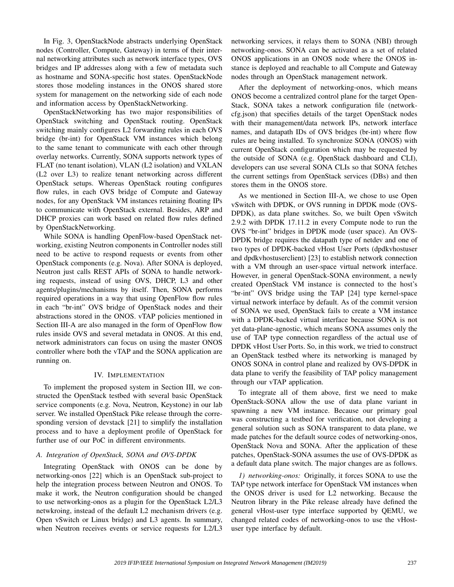In Fig. 3, OpenStackNode abstracts underlying OpenStack nodes (Controller, Compute, Gateway) in terms of their internal networking attributes such as network interface types, OVS bridges and IP addresses along with a few of metadata such as hostname and SONA-specific host states. OpenStackNode stores those modeling instances in the ONOS shared store system for management on the networking side of each node and information access by OpenStackNetworking.

OpenStackNetworking has two major responsibilities of OpenStack switching and OpenStack routing. OpenStack switching mainly configures L2 forwarding rules in each OVS bridge (br-int) for OpenStack VM instances which belong to the same tenant to communicate with each other through overlay networks. Currently, SONA supports network types of FLAT (no tenant isolation), VLAN (L2 isolation) and VXLAN (L2 over L3) to realize tenant networking across different OpenStack setups. Whereas OpenStack routing configures flow rules, in each OVS bridge of Compute and Gateway nodes, for any OpenStack VM instances retaining floating IPs to communicate with OpenStack external. Besides, ARP and DHCP proxies can work based on related flow rules defined by OpenStackNetworking.

While SONA is handling OpenFlow-based OpenStack networking, existing Neutron components in Controller nodes still need to be active to respond requests or events from other OpenStack components (e.g. Nova). After SONA is deployed, Neutron just calls REST APIs of SONA to handle networking requests, instead of using OVS, DHCP, L3 and other agents/plugins/mechanisms by itself. Then, SONA performs required operations in a way that using OpenFlow flow rules in each "br-int" OVS bridge of OpenStack nodes and their abstractions stored in the ONOS. vTAP policies mentioned in Section III-A are also managed in the form of OpenFlow flow rules inside OVS and several metadata in ONOS. At this end, network administrators can focus on using the master ONOS controller where both the vTAP and the SONA application are running on.

## IV. IMPLEMENTATION

To implement the proposed system in Section III, we constructed the OpenStack testbed with several basic OpenStack service components (e.g. Nova, Neutron, Keystone) in our lab server. We installed OpenStack Pike release through the corresponding version of devstack [21] to simplify the installation process and to have a deployment profile of OpenStack for further use of our PoC in different environments.

#### *A. Integration of OpenStack, SONA and OVS-DPDK*

Integrating OpenStack with ONOS can be done by networking-onos [22] which is an OpenStack sub-project to help the integration process between Neutron and ONOS. To make it work, the Neutron configuration should be changed to use networking-onos as a plugin for the OpenStack L2/L3 netwkroing, instead of the default L2 mechanism drivers (e.g. Open vSwitch or Linux bridge) and L3 agents. In summary, when Neutron receives events or service requests for L2/L3 networking services, it relays them to SONA (NBI) through networking-onos. SONA can be activated as a set of related ONOS applications in an ONOS node where the ONOS instance is deployed and reachable to all Compute and Gateway nodes through an OpenStack management network.

After the deployment of networking-onos, which means ONOS become a centralized control plane for the target Open-Stack, SONA takes a network configuration file (networkcfg.json) that specifies details of the target OpenStack nodes with their management/data network IPs, network interface names, and datapath IDs of OVS bridges (br-int) where flow rules are being installed. To synchronize SONA (ONOS) with current OpenStack configuration which may be requested by the outside of SONA (e.g. OpenStack dashboard and CLI), developers can use several SONA CLIs so that SONA fetches the current settings from OpenStack services (DBs) and then stores them in the ONOS store.

As we mentioned in Section III-A, we chose to use Open vSwitch with DPDK, or OVS running in DPDK mode (OVS-DPDK), as data plane switches. So, we built Open vSwitch 2.9.2 with DPDK 17.11.2 in every Compute node to run the OVS "br-int" bridges in DPDK mode (user space). An OVS-DPDK bridge requires the datapath type of netdev and one of two types of DPDK-backed vHost User Ports (dpdkvhostuser and dpdkvhostuserclient) [23] to establish network connection with a VM through an user-space virtual network interface. However, in general OpenStack-SONA environment, a newly created OpenStack VM instance is connected to the host's "br-int" OVS bridge using the TAP [24] type kernel-space virtual network interface by default. As of the commit version of SONA we used, OpenStack fails to create a VM instance with a DPDK-backed virtual interface because SONA is not yet data-plane-agnostic, which means SONA assumes only the use of TAP type connection regardless of the actual use of DPDK vHost User Ports. So, in this work, we tried to construct an OpenStack testbed where its networking is managed by ONOS SONA in control plane and realized by OVS-DPDK in data plane to verify the feasibility of TAP policy management through our vTAP application.

To integrate all of them above, first we need to make OpenStack-SONA allow the use of data plane variant in spawning a new VM instance. Because our primary goal was constructing a testbed for verification, not developing a general solution such as SONA transparent to data plane, we made patches for the default source codes of networking-onos, OpenStack Nova and SONA. After the application of these patches, OpenStack-SONA assumes the use of OVS-DPDK as a default data plane switch. The major changes are as follows.

*1) networking-onos:* Originally, it forces SONA to use the TAP type network interface for OpenStack VM instances when the ONOS driver is used for L2 networking. Because the Neutron library in the Pike release already have defined the general vHost-user type interface supported by QEMU, we changed related codes of networking-onos to use the vHostuser type interface by default.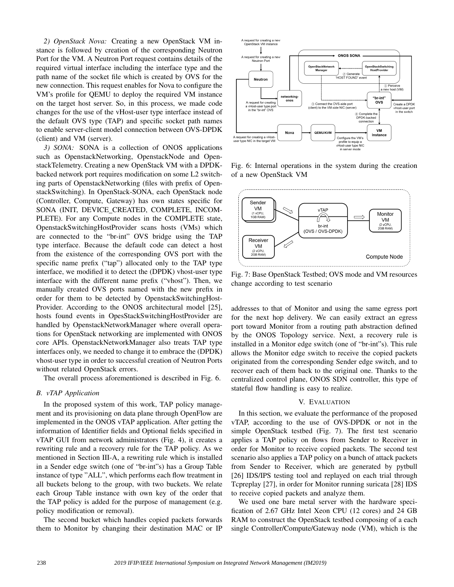*2) OpenStack Nova:* Creating a new OpenStack VM instance is followed by creation of the corresponding Neutron Port for the VM. A Neutron Port request contains details of the required virtual interface including the interface type and the path name of the socket file which is created by OVS for the new connection. This request enables for Nova to configure the VM's profile for QEMU to deploy the required VM instance on the target host server. So, in this process, we made code changes for the use of the vHost-user type interface instead of the default OVS type (TAP) and specific socket path names to enable server-client model connection between OVS-DPDK (client) and VM (server).

*3) SONA:* SONA is a collection of ONOS applications such as OpenstackNetworking, OpenstackNode and OpenstackTelemetry. Creating a new OpenStack VM with a DPDKbacked network port requires modification on some L2 switching parts of OpenstackNetworking (files with prefix of OpenstackSwitching). In OpenStack-SONA, each OpenStack node (Controller, Compute, Gateway) has own states specific for SONA (INIT, DEVICE CREATED, COMPLETE, INCOM-PLETE). For any Compute nodes in the COMPLETE state, OpenstackSwitchingHostProvider scans hosts (VMs) which are connected to the "br-int" OVS bridge using the TAP type interface. Because the default code can detect a host from the existence of the corresponding OVS port with the specific name prefix ("tap") allocated only to the TAP type interface, we modified it to detect the (DPDK) vhost-user type interface with the different name prefix ("vhost"). Then, we manually created OVS ports named with the new prefix in order for them to be detected by OpenstackSwitchingHost-Provider. According to the ONOS architectural model [25], hosts found events in OpesStackSwitchingHostProvider are handled by OpenstackNetworkManager where overall operations for OpenStack networking are implemented with ONOS core APIs. OpenstackNetworkManager also treats TAP type interfaces only, we needed to change it to embrace the (DPDK) vhost-user type in order to successful creation of Neutron Ports without related OpenStack errors.

The overall process aforementioned is described in Fig. 6.

#### *B. vTAP Application*

In the proposed system of this work, TAP policy management and its provisioning on data plane through OpenFlow are implemented in the ONOS vTAP application. After getting the information of Identifier fields and Optional fields specified in vTAP GUI from network administrators (Fig. 4), it creates a rewriting rule and a recovery rule for the TAP policy. As we mentioned in Section III-A, a rewriting rule which is installed in a Sender edge switch (one of "br-int"s) has a Group Table instance of type "ALL", which performs each flow treatment in all buckets belong to the group, with two buckets. We relate each Group Table instance with own key of the order that the TAP policy is added for the purpose of management (e.g. policy modification or removal).

The second bucket which handles copied packets forwards them to Monitor by changing their destination MAC or IP



Fig. 6: Internal operations in the system during the creation of a new OpenStack VM



Fig. 7: Base OpenStack Testbed; OVS mode and VM resources change according to test scenario

addresses to that of Monitor and using the same egress port for the next hop delivery. We can easily extract an egress port toward Monitor from a routing path abstraction defined by the ONOS Topology service. Next, a recovery rule is installed in a Monitor edge switch (one of "br-int"s). This rule allows the Monitor edge switch to receive the copied packets originated from the corresponding Sender edge switch, and to recover each of them back to the original one. Thanks to the centralized control plane, ONOS SDN controller, this type of stateful flow handling is easy to realize.

#### V. EVALUATION

In this section, we evaluate the performance of the proposed vTAP, according to the use of OVS-DPDK or not in the simple OpenStack testbed (Fig. 7). The first test scenario applies a TAP policy on flows from Sender to Receiver in order for Monitor to receive copied packets. The second test scenario also applies a TAP policy on a bunch of attack packets from Sender to Receiver, which are generated by pytbull [26] IDS/IPS testing tool and replayed on each trial through Tcpreplay [27], in order for Monitor running suricata [28] IDS to receive copied packets and analyze them.

We used one bare metal server with the hardware specification of 2.67 GHz Intel Xeon CPU (12 cores) and 24 GB RAM to construct the OpenStack testbed composing of a each single Controller/Compute/Gateway node (VM), which is the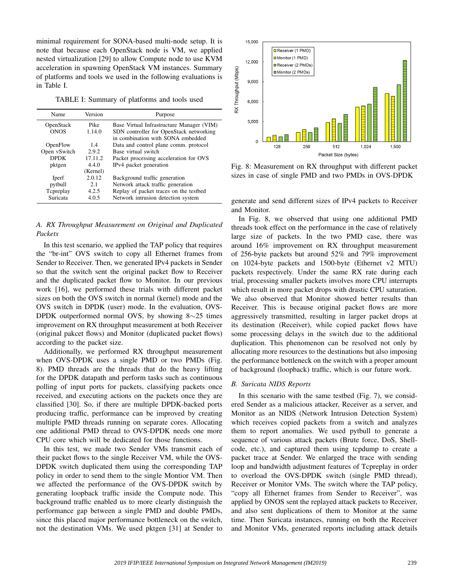minimal requirement for SONA-based multi-node setup. It is note that because each OpenStack node is VM, we applied nested virtualization [29] to allow Compute node to use KVM acceleration in spawning OpenStack VM instances. Summary of platforms and tools we used in the following evaluations is in Table I.

TABLE I: Summary of platforms and tools used

| Name         | Version     | Purpose                                   |  |  |  |
|--------------|-------------|-------------------------------------------|--|--|--|
| OpenStack    | <b>Pike</b> | Base Virtual Infrastructure Manager (VIM) |  |  |  |
| <b>ONOS</b>  | 1.14.0      | SDN controller for OpenStack networking   |  |  |  |
|              |             | in combination with SONA embedded         |  |  |  |
| OpenFlow     | 1.4         | Data and control plane comm. protocol     |  |  |  |
| Open vSwitch | 2.9.2       | Base virtual switch                       |  |  |  |
| <b>DPDK</b>  | 17.11.2     | Packet processing acceleration for OVS    |  |  |  |
| pktgen       | 440         | IPv4 packet generation                    |  |  |  |
|              | (Kernel)    |                                           |  |  |  |
| Iperf        | 2.0.12      | Background traffic generation             |  |  |  |
| pytbull      | 2.1         | Network attack traffic generation         |  |  |  |
| Tepreplay    | 4.2.5       | Replay of packet traces on the testbed    |  |  |  |
| Suricata     | 4.0.5       | Network intrusion detection system        |  |  |  |
|              |             |                                           |  |  |  |

# *A. RX Throughput Measurement on Original and Duplicated Packets*

In this test scenario, we applied the TAP policy that requires the "br-int" OVS switch to copy all Ethernet frames from Sender to Receiver. Then, we generated IPv4 packets in Sender so that the switch sent the original packet flow to Receiver and the duplicated packet flow to Monitor. In our previous work [16], we performed these trials with different packet sizes on both the OVS switch in normal (kernel) mode and the OVS switch in DPDK (user) mode. In the evaluation, OVS-DPDK outperformed normal OVS, by showing 8∼25 times improvement on RX throughput measurement at both Receiver (original pakcet flows) and Monitor (duplicated packet flows) according to the packet size.

Additionally, we performed RX throughput measurement when OVS-DPDK uses a single PMD or two PMDs (Fig. 8). PMD threads are the threads that do the heavy lifting for the DPDK datapath and perform tasks such as continuous polling of input ports for packets, classifying packets once received, and executing actions on the packets once they are classified [30]. So, if there are multiple DPDK-backed ports producing traffic, performance can be improved by creating multiple PMD threads running on separate cores. Allocating one additional PMD thread to OVS-DPDK needs one more CPU core which will be dedicated for those functions.

In this test, we made two Sender VMs transmit each of their packet flows to the single Receiver VM, while the OVS-DPDK switch duplicated them using the corresponding TAP policy in order to send them to the single Montior VM. Then we affected the performance of the OVS-DPDK switch by generating loopback traffic inside the Compute node. This background traffic enabled us to more clearly distinguish the performance gap between a single PMD and double PMDs, since this placed major performance bottleneck on the switch, not the destination VMs. We used pktgen [31] at Sender to



Fig. 8: Measurement on RX throughput with different packet sizes in case of single PMD and two PMDs in OVS-DPDK

generate and send different sizes of IPv4 packets to Receiver and Monitor.

In Fig. 8, we observed that using one additional PMD threads took effect on the performance in the case of relatively large size of packets. In the two PMD case, there was around 16% improvement on RX throughput measurement of 256-byte packets but around 52% and 79% improvement on 1024-byte packets and 1500-byte (Ethernet v2 MTU) packets respectively. Under the same RX rate during each trial, processing smaller packets involves more CPU interrupts which result in more packet drops with drastic CPU saturation. We also observed that Monitor showed better results than Receiver. This is because original packet flows are more aggressively transmitted, resulting in larger packet drops at its destination (Receiver), while copied packet flows have some processing delays in the switch due to the additional duplication. This phenomenon can be resolved not only by allocating more resources to the destinations but also imposing the performance bottleneck on the switch with a proper amount of background (loopback) traffic, which is our future work.

# *B. Suricata NIDS Reports*

In this scenario with the same testbed (Fig. 7), we considered Sender as a malicious attacker, Receiver as a server, and Monitor as an NIDS (Network Intrusion Detection System) which receives copied packets from a switch and analyzes them to report anomalies. We used pytbull to generate a sequence of various attack packets (Brute force, DoS, Shellcode, etc.), and captured them using tcpdump to create a packet trace at Sender. We enlarged the trace with sending loop and bandwidth adjustment features of Tcpreplay in order to overload the OVS-DPDK switch (single PMD thread), Receiver or Monitor VMs. The switch where the TAP policy, "copy all Ethernet frames from Sender to Receiver", was applied by ONOS sent the replayed attack packets to Receiver, and also sent duplications of them to Monitor at the same time. Then Suricata instances, running on both the Receiver and Monitor VMs, generated reports including attack details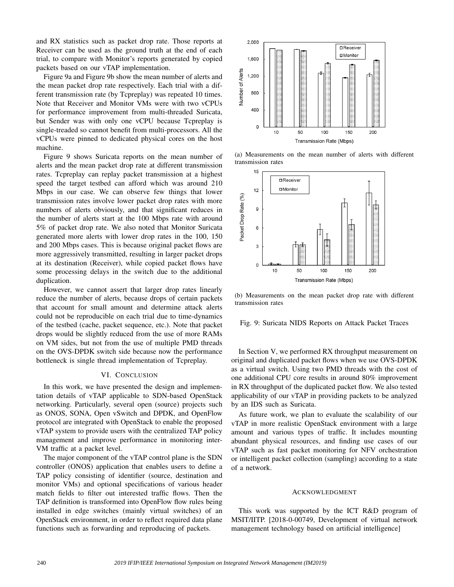and RX statistics such as packet drop rate. Those reports at Receiver can be used as the ground truth at the end of each trial, to compare with Monitor's reports generated by copied packets based on our vTAP implementation.

Figure 9a and Figure 9b show the mean number of alerts and the mean packet drop rate respectively. Each trial with a different transmission rate (by Tcpreplay) was repeated 10 times. Note that Receiver and Monitor VMs were with two vCPUs for performance improvement from multi-threaded Suricata, but Sender was with only one vCPU because Tcpreplay is single-treaded so cannot benefit from multi-processors. All the vCPUs were pinned to dedicated physical cores on the host machine.

Figure 9 shows Suricata reports on the mean number of alerts and the mean packet drop rate at different transmission rates. Tcpreplay can replay packet transmission at a highest speed the target testbed can afford which was around 210 Mbps in our case. We can observe few things that lower transmission rates involve lower packet drop rates with more numbers of alerts obviously, and that significant reduces in the number of alerts start at the 100 Mbps rate with around 5% of packet drop rate. We also noted that Monitor Suricata generated more alerts with lower drop rates in the 100, 150 and 200 Mbps cases. This is because original packet flows are more aggressively transmitted, resulting in larger packet drops at its destination (Receiver), while copied packet flows have some processing delays in the switch due to the additional duplication.

However, we cannot assert that larger drop rates linearly reduce the number of alerts, because drops of certain packets that account for small amount and determine attack alerts could not be reproducible on each trial due to time-dynamics of the testbed (cache, packet sequence, etc.). Note that packet drops would be slightly reduced from the use of more RAMs on VM sides, but not from the use of multiple PMD threads on the OVS-DPDK switch side because now the performance bottleneck is single thread implementation of Tcpreplay.

## VI. CONCLUSION

In this work, we have presented the design and implementation details of vTAP applicable to SDN-based OpenStack networking. Particularly, several open (source) projects such as ONOS, SONA, Open vSwitch and DPDK, and OpenFlow protocol are integrated with OpenStack to enable the proposed vTAP system to provide users with the centralized TAP policy management and improve performance in monitoring inter-VM traffic at a packet level.

The major component of the vTAP control plane is the SDN controller (ONOS) application that enables users to define a TAP policy consisting of identifier (source, destination and monitor VMs) and optional specifications of various header match fields to filter out interested traffic flows. Then the TAP definition is transformed into OpenFlow flow rules being installed in edge switches (mainly virtual switches) of an OpenStack environment, in order to reflect required data plane functions such as forwarding and reproducing of packets.



(a) Measurements on the mean number of alerts with different transmission rates



(b) Measurements on the mean packet drop rate with different transmission rates

Fig. 9: Suricata NIDS Reports on Attack Packet Traces

In Section V, we performed RX throughput measurement on original and duplicated packet flows when we use OVS-DPDK as a virtual switch. Using two PMD threads with the cost of one additional CPU core results in around 80% improvement in RX throughput of the duplicated packet flow. We also tested applicability of our vTAP in providing packets to be analyzed by an IDS such as Suricata.

As future work, we plan to evaluate the scalability of our vTAP in more realistic OpenStack environment with a large amount and various types of traffic. It includes mounting abundant physical resources, and finding use cases of our vTAP such as fast packet monitoring for NFV orchestration or intelligent packet collection (sampling) according to a state of a network.

#### ACKNOWLEDGMENT

This work was supported by the ICT R&D program of MSIT/IITP. [2018-0-00749, Development of virtual network management technology based on artificial intelligence]